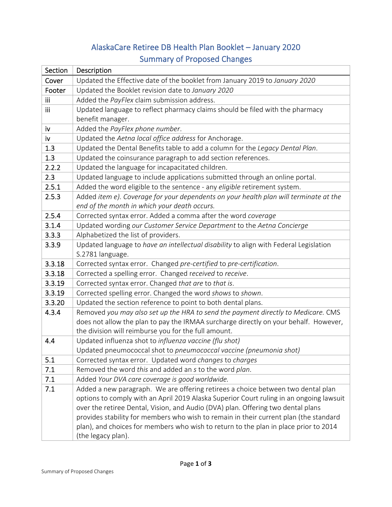## AlaskaCare Retiree DB Health Plan Booklet – January 2020 Summary of Proposed Changes

| Section    | Description                                                                             |
|------------|-----------------------------------------------------------------------------------------|
| Cover      | Updated the Effective date of the booklet from January 2019 to January 2020             |
| Footer     | Updated the Booklet revision date to January 2020                                       |
| <b>iii</b> | Added the PayFlex claim submission address.                                             |
| iii        | Updated language to reflect pharmacy claims should be filed with the pharmacy           |
|            | benefit manager.                                                                        |
| iv         | Added the PayFlex phone number.                                                         |
| iv         | Updated the Aetna local office address for Anchorage.                                   |
| 1.3        | Updated the Dental Benefits table to add a column for the Legacy Dental Plan.           |
| 1.3        | Updated the coinsurance paragraph to add section references.                            |
| 2.2.2      | Updated the language for incapacitated children.                                        |
| 2.3        | Updated language to include applications submitted through an online portal.            |
| 2.5.1      | Added the word eligible to the sentence - any eligible retirement system.               |
| 2.5.3      | Added item e). Coverage for your dependents on your health plan will terminate at the   |
|            | end of the month in which your death occurs.                                            |
| 2.5.4      | Corrected syntax error. Added a comma after the word coverage                           |
| 3.1.4      | Updated wording our Customer Service Department to the Aetna Concierge                  |
| 3.3.3      | Alphabetized the list of providers.                                                     |
| 3.3.9      | Updated language to have an intellectual disability to align with Federal Legislation   |
|            | S.2781 language.                                                                        |
| 3.3.18     | Corrected syntax error. Changed pre-certified to pre-certification.                     |
| 3.3.18     | Corrected a spelling error. Changed received to receive.                                |
| 3.3.19     | Corrected syntax error. Changed that are to that is.                                    |
| 3.3.19     | Corrected spelling error. Changed the word shows to shown.                              |
| 3.3.20     | Updated the section reference to point to both dental plans.                            |
| 4.3.4      | Removed you may also set up the HRA to send the payment directly to Medicare. CMS       |
|            | does not allow the plan to pay the IRMAA surcharge directly on your behalf. However,    |
|            | the division will reimburse you for the full amount.                                    |
| 4.4        | Updated influenza shot to influenza vaccine (flu shot)                                  |
|            | Updated pneumococcal shot to pneumococcal vaccine (pneumonia shot)                      |
| 5.1        | Corrected syntax error. Updated word changes to charges                                 |
| 7.1        | Removed the word this and added an s to the word plan.                                  |
| 7.1        | Added Your DVA care coverage is good worldwide.                                         |
| 7.1        | Added a new paragraph. We are offering retirees a choice between two dental plan        |
|            | options to comply with an April 2019 Alaska Superior Court ruling in an ongoing lawsuit |
|            | over the retiree Dental, Vision, and Audio (DVA) plan. Offering two dental plans        |
|            | provides stability for members who wish to remain in their current plan (the standard   |
|            | plan), and choices for members who wish to return to the plan in place prior to 2014    |
|            | (the legacy plan).                                                                      |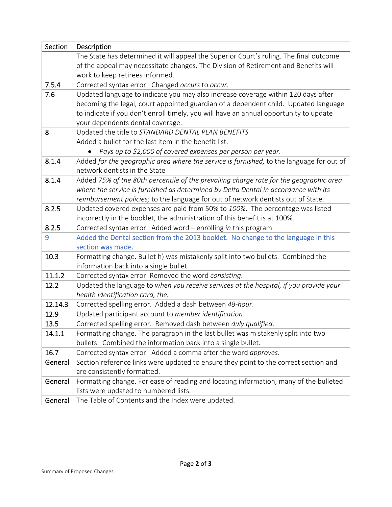| Section | Description                                                                                                                |
|---------|----------------------------------------------------------------------------------------------------------------------------|
|         | The State has determined it will appeal the Superior Court's ruling. The final outcome                                     |
|         | of the appeal may necessitate changes. The Division of Retirement and Benefits will                                        |
|         | work to keep retirees informed.                                                                                            |
| 7.5.4   | Corrected syntax error. Changed occurs to occur.                                                                           |
| 7.6     | Updated language to indicate you may also increase coverage within 120 days after                                          |
|         | becoming the legal, court appointed guardian of a dependent child. Updated language                                        |
|         | to indicate if you don't enroll timely, you will have an annual opportunity to update                                      |
|         | your dependents dental coverage.                                                                                           |
| 8       | Updated the title to STANDARD DENTAL PLAN BENEFITS                                                                         |
|         | Added a bullet for the last item in the benefit list.                                                                      |
|         | Pays up to \$2,000 of covered expenses per person per year.                                                                |
| 8.1.4   | Added for the geographic area where the service is furnished, to the language for out of                                   |
|         | network dentists in the State                                                                                              |
| 8.1.4   | Added 75% of the 80th percentile of the prevailing charge rate for the geographic area                                     |
|         | where the service is furnished as determined by Delta Dental in accordance with its                                        |
|         | reimbursement policies; to the language for out of network dentists out of State.                                          |
| 8.2.5   | Updated covered expenses are paid from 50% to 100%. The percentage was listed                                              |
|         | incorrectly in the booklet, the administration of this benefit is at 100%.                                                 |
| 8.2.5   | Corrected syntax error. Added word - enrolling in this program                                                             |
| 9       | Added the Dental section from the 2013 booklet. No change to the language in this<br>section was made.                     |
| 10.3    |                                                                                                                            |
|         | Formatting change. Bullet h) was mistakenly split into two bullets. Combined the<br>information back into a single bullet. |
| 11.1.2  | Corrected syntax error. Removed the word consisting.                                                                       |
| 12.2    | Updated the language to when you receive services at the hospital, if you provide your                                     |
|         | health identification card, the.                                                                                           |
| 12.14.3 | Corrected spelling error. Added a dash between 48-hour.                                                                    |
| 12.9    | Updated participant account to member identification.                                                                      |
| 13.5    | Corrected spelling error. Removed dash between duly qualified.                                                             |
| 14.1.1  | Formatting change. The paragraph in the last bullet was mistakenly split into two                                          |
|         | bullets. Combined the information back into a single bullet.                                                               |
| 16.7    | Corrected syntax error. Added a comma after the word approves.                                                             |
| General | Section reference links were updated to ensure they point to the correct section and                                       |
|         | are consistently formatted.                                                                                                |
| General | Formatting change. For ease of reading and locating information, many of the bulleted                                      |
|         | lists were updated to numbered lists.                                                                                      |
| General | The Table of Contents and the Index were updated.                                                                          |